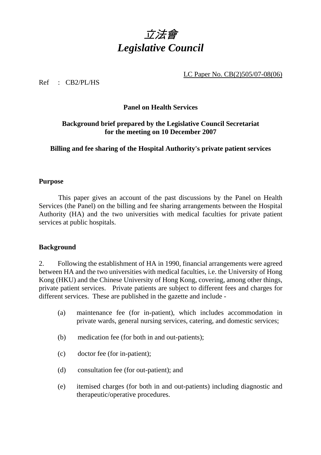

LC Paper No. CB(2)505/07-08(06)

Ref : CB2/PL/HS

## **Panel on Health Services**

# **Background brief prepared by the Legislative Council Secretariat for the meeting on 10 December 2007**

**Billing and fee sharing of the Hospital Authority's private patient services** 

# **Purpose**

 This paper gives an account of the past discussions by the Panel on Health Services (the Panel) on the billing and fee sharing arrangements between the Hospital Authority (HA) and the two universities with medical faculties for private patient services at public hospitals.

### **Background**

2. Following the establishment of HA in 1990, financial arrangements were agreed between HA and the two universities with medical faculties, i.e. the University of Hong Kong (HKU) and the Chinese University of Hong Kong, covering, among other things, private patient services. Private patients are subject to different fees and charges for different services. These are published in the gazette and include -

- (a) maintenance fee (for in-patient), which includes accommodation in private wards, general nursing services, catering, and domestic services;
- (b) medication fee (for both in and out-patients);
- (c) doctor fee (for in-patient);
- (d) consultation fee (for out-patient); and
- (e) itemised charges (for both in and out-patients) including diagnostic and therapeutic/operative procedures.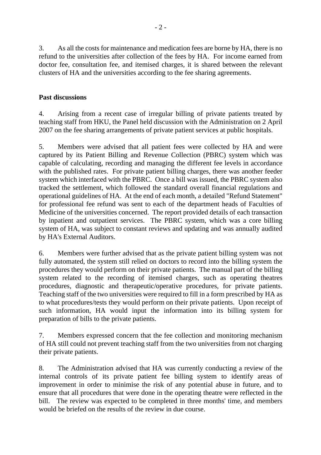3. As all the costs for maintenance and medication fees are borne by HA, there is no refund to the universities after collection of the fees by HA. For income earned from doctor fee, consultation fee, and itemised charges, it is shared between the relevant clusters of HA and the universities according to the fee sharing agreements.

#### **Past discussions**

4. Arising from a recent case of irregular billing of private patients treated by teaching staff from HKU, the Panel held discussion with the Administration on 2 April 2007 on the fee sharing arrangements of private patient services at public hospitals.

5. Members were advised that all patient fees were collected by HA and were captured by its Patient Billing and Revenue Collection (PBRC) system which was capable of calculating, recording and managing the different fee levels in accordance with the published rates. For private patient billing charges, there was another feeder system which interfaced with the PBRC. Once a bill was issued, the PBRC system also tracked the settlement, which followed the standard overall financial regulations and operational guidelines of HA. At the end of each month, a detailed "Refund Statement" for professional fee refund was sent to each of the department heads of Faculties of Medicine of the universities concerned. The report provided details of each transaction by inpatient and outpatient services. The PBRC system, which was a core billing system of HA, was subject to constant reviews and updating and was annually audited by HA's External Auditors.

6. Members were further advised that as the private patient billing system was not fully automated, the system still relied on doctors to record into the billing system the procedures they would perform on their private patients. The manual part of the billing system related to the recording of itemised charges, such as operating theatres procedures, diagnostic and therapeutic/operative procedures, for private patients. Teaching staff of the two universities were required to fill in a form prescribed by HA as to what procedures/tests they would perform on their private patients. Upon receipt of such information, HA would input the information into its billing system for preparation of bills to the private patients.

7. Members expressed concern that the fee collection and monitoring mechanism of HA still could not prevent teaching staff from the two universities from not charging their private patients.

8. The Administration advised that HA was currently conducting a review of the internal controls of its private patient fee billing system to identify areas of improvement in order to minimise the risk of any potential abuse in future, and to ensure that all procedures that were done in the operating theatre were reflected in the bill. The review was expected to be completed in three months' time, and members would be briefed on the results of the review in due course.